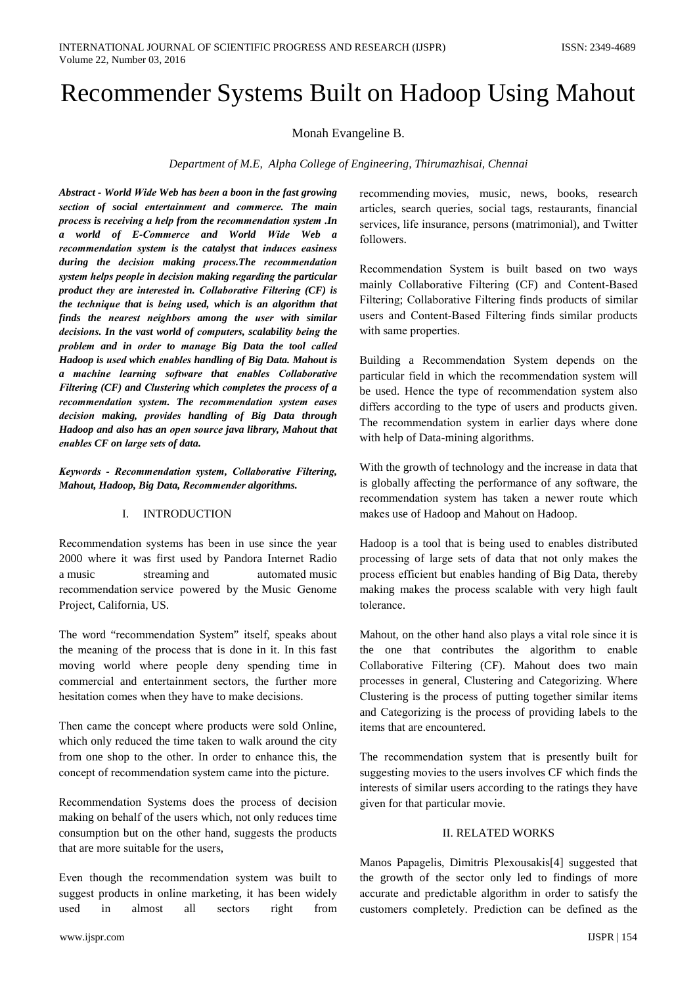# **Recommender Systems Built on Hadoop Using Mahout**

Monah Evangeline B.

Department of M.E. Alpha College of Engineering, Thirumazhisai, Chennai

Abstract - World Wide Web has been a boon in the fast growing section of social entertainment and commerce. The main process is receiving a help from the recommendation system .In a world of E-Commerce and World Wide Web a recommendation system is the catalyst that induces easiness during the decision making process. The recommendation system helps people in decision making regarding the particular product they are interested in. Collaborative Filtering (CF) is the technique that is being used, which is an algorithm that finds the nearest neighbors among the user with similar decisions. In the vast world of computers, scalability being the problem and in order to manage Big Data the tool called Hadoop is used which enables handling of Big Data. Mahout is a machine learning software that enables Collaborative Filtering (CF) and Clustering which completes the process of a recommendation system. The recommendation system eases decision making, provides handling of Big Data through Hadoop and also has an open source java library, Mahout that enables CF on large sets of data.

Keywords - Recommendation system, Collaborative Filtering, Mahout, Hadoop, Big Data, Recommender algorithms.

## I. INTRODUCTION

Recommendation systems has been in use since the year 2000 where it was first used by Pandora Internet Radio streaming and automated music a music recommendation service powered by the Music Genome Project, California, US.

The word "recommendation System" itself, speaks about the meaning of the process that is done in it. In this fast moving world where people deny spending time in commercial and entertainment sectors, the further more hesitation comes when they have to make decisions.

Then came the concept where products were sold Online, which only reduced the time taken to walk around the city from one shop to the other. In order to enhance this, the concept of recommendation system came into the picture.

Recommendation Systems does the process of decision making on behalf of the users which, not only reduces time consumption but on the other hand, suggests the products that are more suitable for the users,

Even though the recommendation system was built to suggest products in online marketing, it has been widely used in almost all sectors right from recommending movies, music, news, books, research articles, search queries, social tags, restaurants, financial services, life insurance, persons (matrimonial), and Twitter followers.

Recommendation System is built based on two ways mainly Collaborative Filtering (CF) and Content-Based Filtering; Collaborative Filtering finds products of similar users and Content-Based Filtering finds similar products with same properties.

Building a Recommendation System depends on the particular field in which the recommendation system will be used. Hence the type of recommendation system also differs according to the type of users and products given. The recommendation system in earlier days where done with help of Data-mining algorithms.

With the growth of technology and the increase in data that is globally affecting the performance of any software, the recommendation system has taken a newer route which makes use of Hadoop and Mahout on Hadoop.

Hadoop is a tool that is being used to enables distributed processing of large sets of data that not only makes the process efficient but enables handing of Big Data, thereby making makes the process scalable with very high fault tolerance.

Mahout, on the other hand also plays a vital role since it is the one that contributes the algorithm to enable Collaborative Filtering (CF). Mahout does two main processes in general, Clustering and Categorizing. Where Clustering is the process of putting together similar items and Categorizing is the process of providing labels to the items that are encountered.

The recommendation system that is presently built for suggesting movies to the users involves CF which finds the interests of similar users according to the ratings they have given for that particular movie.

## **II. RELATED WORKS**

Manos Papagelis, Dimitris Plexousakis[4] suggested that the growth of the sector only led to findings of more accurate and predictable algorithm in order to satisfy the customers completely. Prediction can be defined as the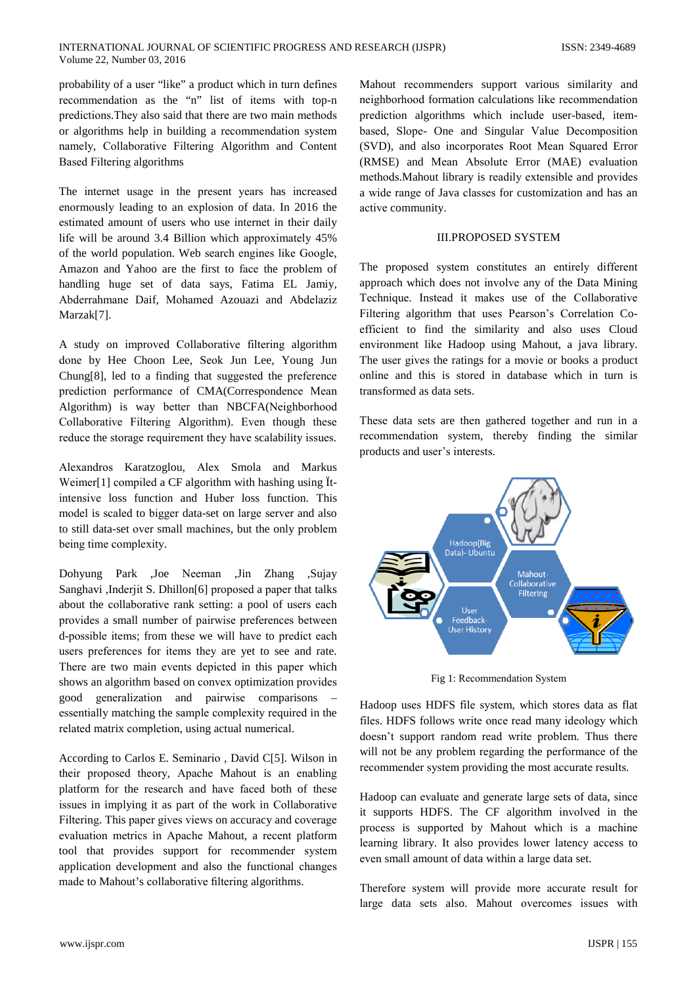probability of a user "like" a product which in turn defines recommendation as the "n" list of items with top-n predictions. They also said that there are two main methods or algorithms help in building a recommendation system namely, Collaborative Filtering Algorithm and Content **Based Filtering algorithms** 

The internet usage in the present years has increased enormously leading to an explosion of data. In 2016 the estimated amount of users who use internet in their daily life will be around 3.4 Billion which approximately 45% of the world population. Web search engines like Google, Amazon and Yahoo are the first to face the problem of handling huge set of data says, Fatima EL Jamiy, Abderrahmane Daif, Mohamed Azouazi and Abdelaziz Marzak[7].

A study on improved Collaborative filtering algorithm done by Hee Choon Lee, Seok Jun Lee, Young Jun Chung[8], led to a finding that suggested the preference prediction performance of CMA(Correspondence Mean Algorithm) is way better than NBCFA(Neighborhood Collaborative Filtering Algorithm). Even though these reduce the storage requirement they have scalability issues.

Alexandros Karatzoglou, Alex Smola and Markus Weimer<sup>[1]</sup> compiled a CF algorithm with hashing using Itintensive loss function and Huber loss function. This model is scaled to bigger data-set on large server and also to still data-set over small machines, but the only problem being time complexity.

Dohyung Park , Joe Neeman , Jin Zhang , Sujay Sanghavi , Inderjit S. Dhillon[6] proposed a paper that talks about the collaborative rank setting: a pool of users each provides a small number of pairwise preferences between d-possible items; from these we will have to predict each users preferences for items they are yet to see and rate. There are two main events depicted in this paper which shows an algorithm based on convex optimization provides good generalization and pairwise comparisons essentially matching the sample complexity required in the related matrix completion, using actual numerical.

According to Carlos E. Seminario, David C[5]. Wilson in their proposed theory, Apache Mahout is an enabling platform for the research and have faced both of these issues in implying it as part of the work in Collaborative Filtering. This paper gives views on accuracy and coverage evaluation metrics in Apache Mahout, a recent platform tool that provides support for recommender system application development and also the functional changes made to Mahout's collaborative filtering algorithms.

Mahout recommenders support various similarity and neighborhood formation calculations like recommendation prediction algorithms which include user-based, itembased, Slope- One and Singular Value Decomposition (SVD), and also incorporates Root Mean Squared Error (RMSE) and Mean Absolute Error (MAE) evaluation methods. Mahout library is readily extensible and provides a wide range of Java classes for customization and has an active community.

#### **IILPROPOSED SYSTEM**

The proposed system constitutes an entirely different approach which does not involve any of the Data Mining Technique. Instead it makes use of the Collaborative Filtering algorithm that uses Pearson's Correlation Coefficient to find the similarity and also uses Cloud environment like Hadoop using Mahout, a java library. The user gives the ratings for a movie or books a product online and this is stored in database which in turn is transformed as data sets.

These data sets are then gathered together and run in a recommendation system, thereby finding the similar products and user's interests.



Fig 1: Recommendation System

Hadoop uses HDFS file system, which stores data as flat files. HDFS follows write once read many ideology which doesn't support random read write problem. Thus there will not be any problem regarding the performance of the recommender system providing the most accurate results.

Hadoop can evaluate and generate large sets of data, since it supports HDFS. The CF algorithm involved in the process is supported by Mahout which is a machine learning library. It also provides lower latency access to even small amount of data within a large data set.

Therefore system will provide more accurate result for large data sets also. Mahout overcomes issues with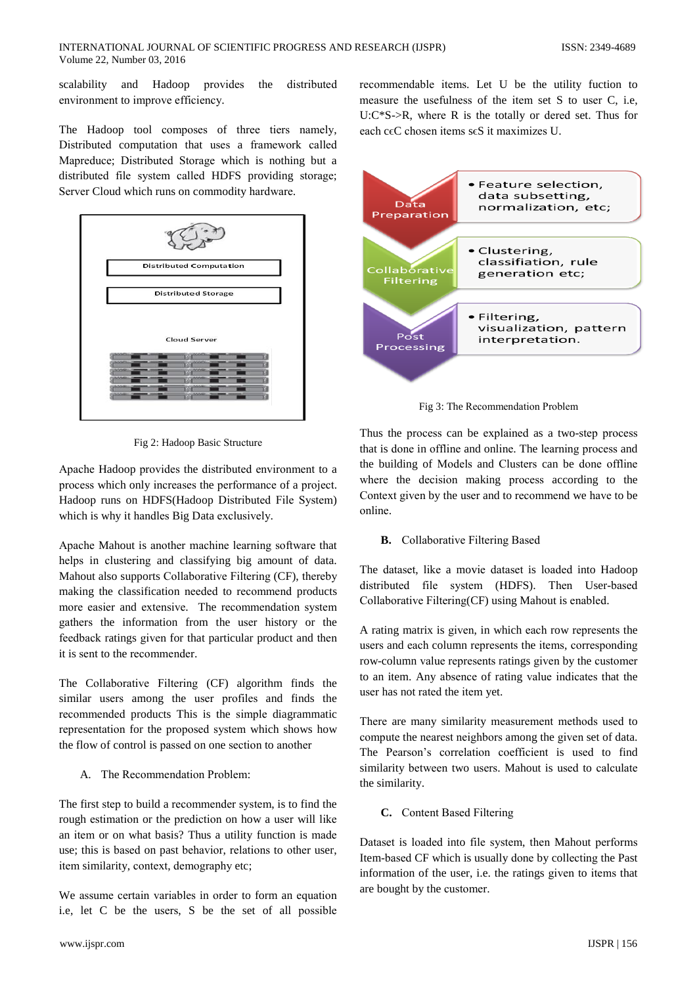scalability and Hadoop provides the distributed environment to improve efficiency.

The Hadoop tool composes of three tiers namely, Distributed computation that uses a framework called Mapreduce; Distributed Storage which is nothing but a distributed file system called HDFS providing storage; Server Cloud which runs on commodity hardware.



Fig 2: Hadoop Basic Structure

Apache Hadoop provides the distributed environment to a process which only increases the performance of a project. Hadoop runs on HDFS(Hadoop Distributed File System) which is why it handles Big Data exclusively.

Apache Mahout is another machine learning software that helps in clustering and classifying big amount of data. Mahout also supports Collaborative Filtering (CF), thereby making the classification needed to recommend products more easier and extensive. The recommendation system gathers the information from the user history or the feedback ratings given for that particular product and then it is sent to the recommender.

The Collaborative Filtering (CF) algorithm finds the similar users among the user profiles and finds the recommended products This is the simple diagrammatic representation for the proposed system which shows how the flow of control is passed on one section to another

A. The Recommendation Problem:

The first step to build a recommender system, is to find the rough estimation or the prediction on how a user will like an item or on what basis? Thus a utility function is made use; this is based on past behavior, relations to other user, item similarity, context, demography etc;

We assume certain variables in order to form an equation i.e, let C be the users, S be the set of all possible

recommendable items. Let U be the utility fuction to measure the usefulness of the item set S to user C, i.e.  $U:C*S\rightarrow R$ , where R is the totally or dered set. Thus for each c $\epsilon$ C chosen items s $\epsilon$ S it maximizes U.



Fig 3: The Recommendation Problem

Thus the process can be explained as a two-step process that is done in offline and online. The learning process and the building of Models and Clusters can be done offline where the decision making process according to the Context given by the user and to recommend we have to be online.

## **B.** Collaborative Filtering Based

The dataset, like a movie dataset is loaded into Hadoop distributed file system (HDFS). Then User-based Collaborative Filtering(CF) using Mahout is enabled.

A rating matrix is given, in which each row represents the users and each column represents the items, corresponding row-column value represents ratings given by the customer to an item. Any absence of rating value indicates that the user has not rated the item yet.

There are many similarity measurement methods used to compute the nearest neighbors among the given set of data. The Pearson's correlation coefficient is used to find similarity between two users. Mahout is used to calculate the similarity.

C. Content Based Filtering

Dataset is loaded into file system, then Mahout performs Item-based CF which is usually done by collecting the Past information of the user, i.e. the ratings given to items that are bought by the customer.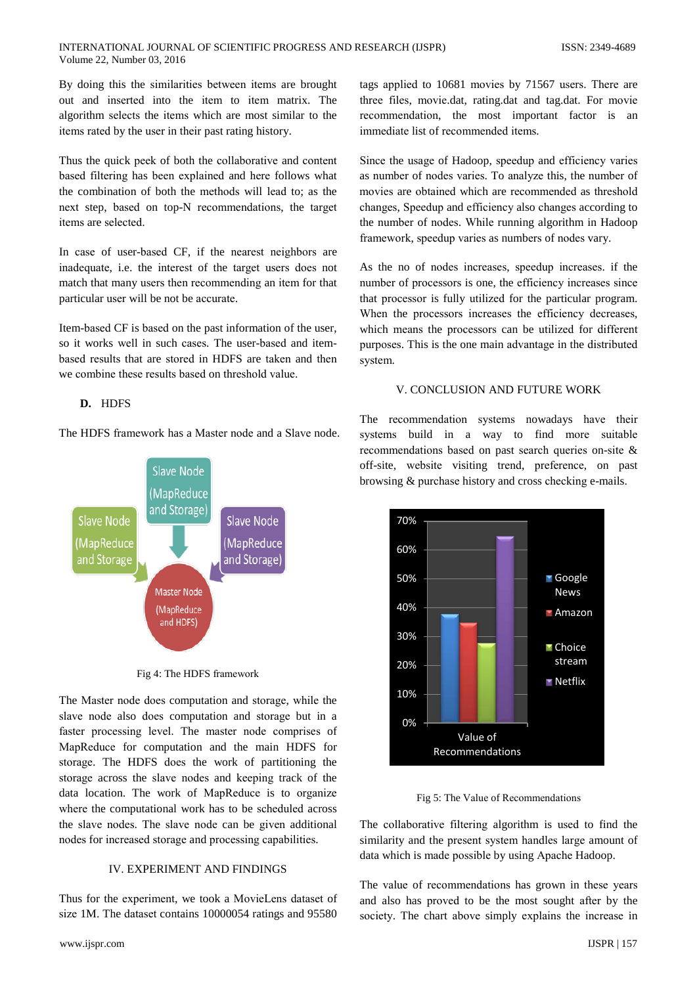By doing this the similarities between items are brought out and inserted into the item to item matrix. The algorithm selects the items which are most similar to the items rated by the user in their past rating history.

Thus the quick peek of both the collaborative and content based filtering has been explained and here follows what the combination of both the methods will lead to; as the next step, based on top-N recommendations, the target items are selected.

In case of user-based CF, if the nearest neighbors are inadequate, i.e. the interest of the target users does not match that many users then recommending an item for that particular user will be not be accurate.

Item-based CF is based on the past information of the user, so it works well in such cases. The user-based and itembased results that are stored in HDFS are taken and then we combine these results based on threshold value.

# D. HDFS

The HDFS framework has a Master node and a Slave node.



Fig 4: The HDFS framework

The Master node does computation and storage, while the slave node also does computation and storage but in a faster processing level. The master node comprises of MapReduce for computation and the main HDFS for storage. The HDFS does the work of partitioning the storage across the slave nodes and keeping track of the data location. The work of MapReduce is to organize where the computational work has to be scheduled across the slave nodes. The slave node can be given additional nodes for increased storage and processing capabilities.

# **IV. EXPERIMENT AND FINDINGS**

Thus for the experiment, we took a MovieLens dataset of size 1M. The dataset contains 10000054 ratings and 95580

tags applied to 10681 movies by 71567 users. There are three files, movie.dat, rating.dat and tag.dat. For movie recommendation, the most important factor is an immediate list of recommended items.

Since the usage of Hadoop, speedup and efficiency varies as number of nodes varies. To analyze this, the number of movies are obtained which are recommended as threshold changes. Speedup and efficiency also changes according to the number of nodes. While running algorithm in Hadoop framework, speedup varies as numbers of nodes vary.

As the no of nodes increases, speedup increases. if the number of processors is one, the efficiency increases since that processor is fully utilized for the particular program. When the processors increases the efficiency decreases, which means the processors can be utilized for different purposes. This is the one main advantage in the distributed system.

#### V. CONCLUSION AND FUTURE WORK

The recommendation systems nowadays have their systems build in a way to find more suitable recommendations based on past search queries on-site & off-site, website visiting trend, preference, on past browsing & purchase history and cross checking e-mails.



Fig 5: The Value of Recommendations

The collaborative filtering algorithm is used to find the similarity and the present system handles large amount of data which is made possible by using Apache Hadoop.

The value of recommendations has grown in these years and also has proved to be the most sought after by the society. The chart above simply explains the increase in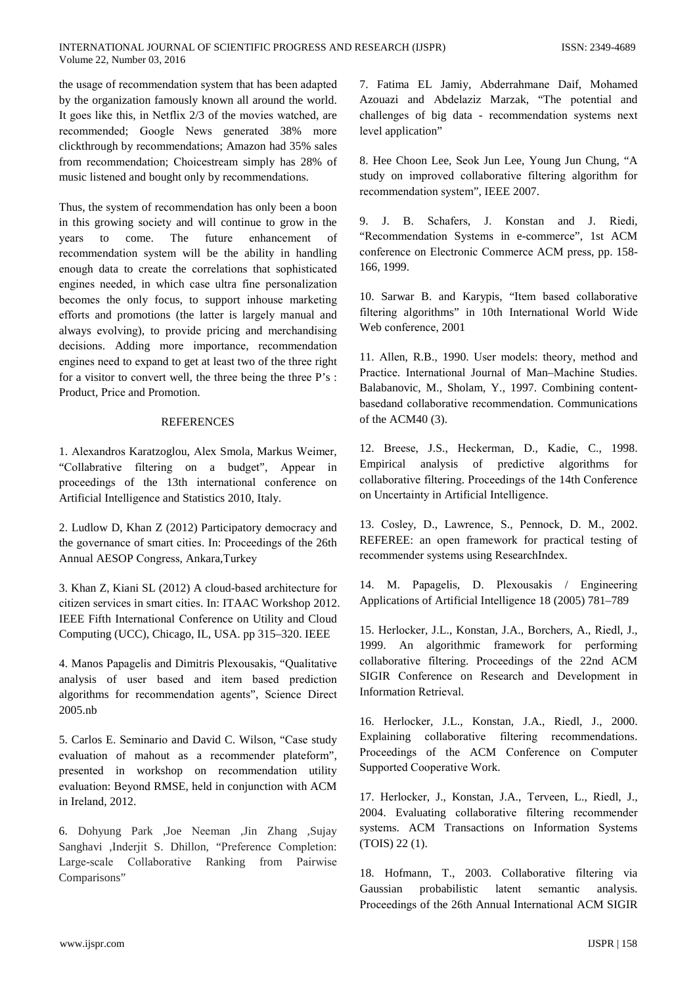the usage of recommendation system that has been adapted by the organization famously known all around the world. It goes like this, in Netflix 2/3 of the movies watched, are recommended; Google News generated 38% more clickthrough by recommendations; Amazon had 35% sales from recommendation; Choicestream simply has 28% of music listened and bought only by recommendations.

Thus, the system of recommendation has only been a boon in this growing society and will continue to grow in the come. The future enhancement years to of recommendation system will be the ability in handling enough data to create the correlations that sophisticated engines needed, in which case ultra fine personalization becomes the only focus, to support inhouse marketing efforts and promotions (the latter is largely manual and always evolving), to provide pricing and merchandising decisions. Adding more importance, recommendation engines need to expand to get at least two of the three right for a visitor to convert well, the three being the three P's: Product. Price and Promotion.

## **REFERENCES**

1. Alexandros Karatzoglou, Alex Smola, Markus Weimer, "Collabrative filtering on a budget", Appear in proceedings of the 13th international conference on Artificial Intelligence and Statistics 2010, Italy.

2. Ludlow D, Khan Z (2012) Participatory democracy and the governance of smart cities. In: Proceedings of the 26th Annual AESOP Congress, Ankara, Turkey

3. Khan Z, Kiani SL (2012) A cloud-based architecture for citizen services in smart cities. In: ITAAC Workshop 2012. IEEE Fifth International Conference on Utility and Cloud Computing (UCC), Chicago, IL, USA. pp 315-320. IEEE

4. Manos Papagelis and Dimitris Plexousakis, "Qualitative analysis of user based and item based prediction algorithms for recommendation agents", Science Direct  $2005.n<sub>b</sub>$ 

5. Carlos E. Seminario and David C. Wilson, "Case study evaluation of mahout as a recommender plateform". presented in workshop on recommendation utility evaluation: Beyond RMSE, held in conjunction with ACM in Ireland, 2012.

6. Dohyung Park ,Joe Neeman ,Jin Zhang ,Sujay Sanghavi ,Inderjit S. Dhillon, "Preference Completion: Large-scale Collaborative Ranking from Pairwise Comparisons"

7. Fatima EL Jamiy, Abderrahmane Daif, Mohamed Azouazi and Abdelaziz Marzak, "The potential and challenges of big data - recommendation systems next level application"

8. Hee Choon Lee, Seok Jun Lee, Young Jun Chung, "A study on improved collaborative filtering algorithm for recommendation system". IEEE 2007.

9. J. B. Schafers. J. Konstan and J. Riedi. "Recommendation Systems in e-commerce", 1st ACM conference on Electronic Commerce ACM press, pp. 158-166, 1999.

10. Sarwar B. and Karypis, "Item based collaborative filtering algorithms" in 10th International World Wide Web conference, 2001

11. Allen, R.B., 1990. User models: theory, method and Practice. International Journal of Man-Machine Studies. Balabanovic, M., Sholam, Y., 1997. Combining contentbasedand collaborative recommendation. Communications of the ACM40 $(3)$ .

12. Breese, J.S., Heckerman, D., Kadie, C., 1998. Empirical analysis of predictive algorithms for collaborative filtering. Proceedings of the 14th Conference on Uncertainty in Artificial Intelligence.

13. Cosley, D., Lawrence, S., Pennock, D. M., 2002. REFEREE: an open framework for practical testing of recommender systems using ResearchIndex.

14. M. Papagelis, D. Plexousakis / Engineering Applications of Artificial Intelligence 18 (2005) 781–789

15. Herlocker, J.L., Konstan, J.A., Borchers, A., Riedl, J., 1999. An algorithmic framework for performing collaborative filtering. Proceedings of the 22nd ACM SIGIR Conference on Research and Development in **Information Retrieval.** 

16. Herlocker, J.L., Konstan, J.A., Riedl, J., 2000. Explaining collaborative filtering recommendations. Proceedings of the ACM Conference on Computer Supported Cooperative Work.

17. Herlocker, J., Konstan, J.A., Terveen, L., Riedl, J., 2004. Evaluating collaborative filtering recommender systems. ACM Transactions on Information Systems  $(TOIS) 22(1)$ .

18. Hofmann, T., 2003. Collaborative filtering via Gaussian probabilistic latent semantic analysis. Proceedings of the 26th Annual International ACM SIGIR